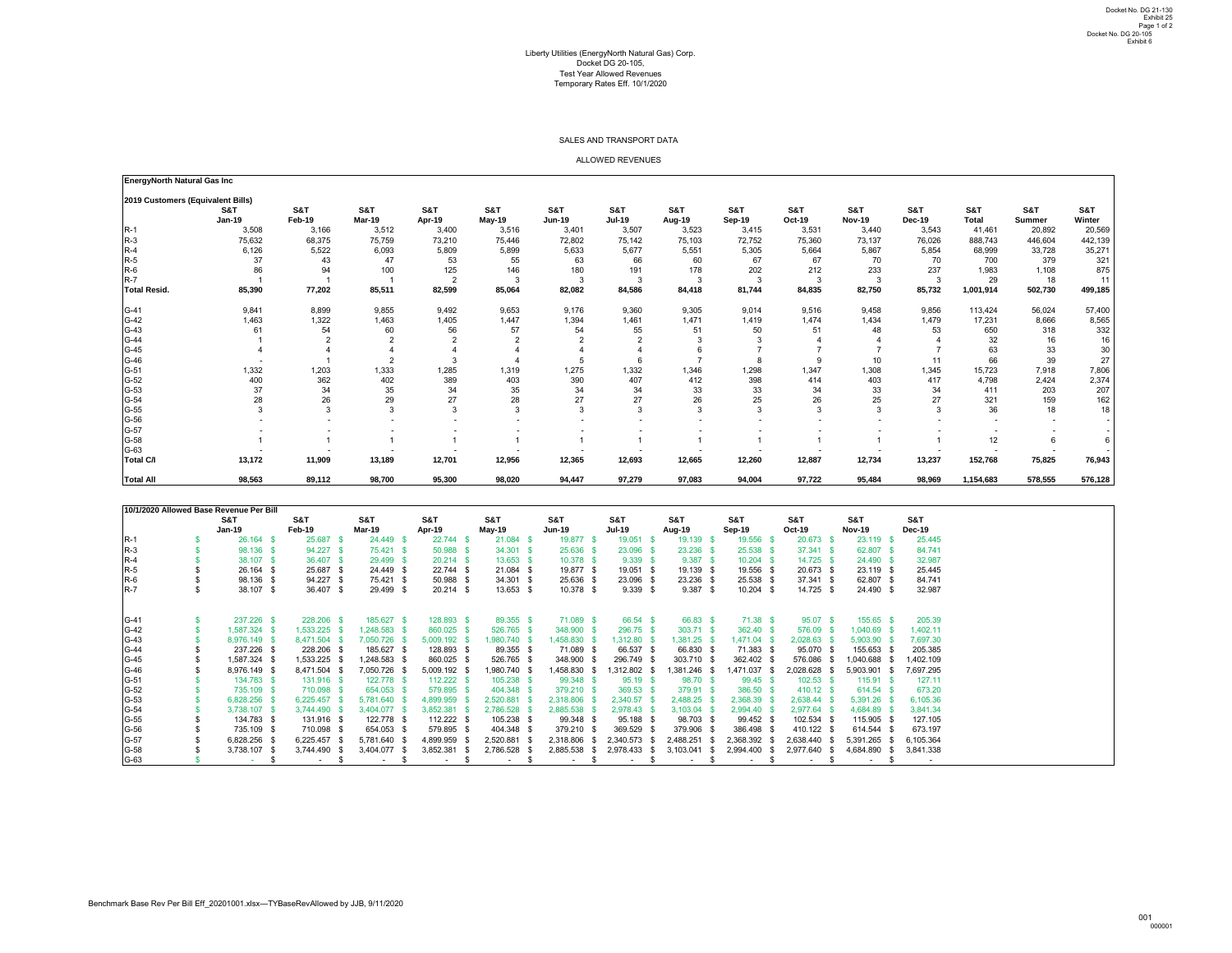## Liberty Utilities (EnergyNorth Natural Gas) Corp. Docket DG 20-105, Test Year Allowed Revenues Temporary Rates Eff. 10/1/2020

| <b>EnergyNorth Natural Gas Inc</b> |               |               |               |                |                |                |               |        |        |               |                 |                |                 |                |         |
|------------------------------------|---------------|---------------|---------------|----------------|----------------|----------------|---------------|--------|--------|---------------|-----------------|----------------|-----------------|----------------|---------|
| 2019 Customers (Equivalent Bills)  |               |               |               |                |                |                |               |        |        |               |                 |                |                 |                |         |
|                                    | S&T           | S&T           | S&T           | S&T            | <b>S&amp;T</b> | <b>S&amp;T</b> | S&T           | S&T    | S&T    | S&T           | S&T             | <b>S&amp;T</b> | <b>S&amp;T</b>  | <b>S&amp;T</b> | S&T     |
|                                    | <b>Jan-19</b> | <b>Feb-19</b> | <b>Mar-19</b> | Apr-19         | May-19         | <b>Jun-19</b>  | <b>Jul-19</b> | Aug-19 | Sep-19 | <b>Oct-19</b> | <b>Nov-19</b>   | <b>Dec-19</b>  | <b>Total</b>    | <b>Summer</b>  | Winter  |
| $R-1$                              | 3,508         | 3,166         | 3,512         | 3,400          | 3,516          | 3,401          | 3,507         | 3,523  | 3,415  | 3,531         | 3,440           | 3,543          | 41,461          | 20,892         | 20,569  |
| $R-3$                              | 75,632        | 68,375        | 75,759        | 73,210         | 75,446         | 72,802         | 75,142        | 75,103 | 72,752 | 75,360        | 73,137          | 76,026         | 888,743         | 446,604        | 442,139 |
| $R-4$                              | 6,126         | 5,522         | 6,093         | 5,809          | 5,899          | 5,633          | 5,677         | 5,551  | 5,305  | 5,664         | 5,867           | 5,854          | 68,999          | 33,728         | 35,271  |
| $R-5$                              | 37            | 43            | 47            | 53             | 55             | 63             | 66            | 60     | 67     | 67            | 70              | 70             | 700             | 379            | 321     |
| $R-6$                              | 86            | 94            | 100           | 125            | 146            | 180            | 191           | 178    | 202    | 212           | 233             | 237            | 1,983           | 1,108          | 875     |
| $R-7$                              |               |               |               | $\overline{2}$ |                | 3              | 3             | -3     | 3      | 3             | 3               |                | 29              | 18             | 11      |
| <b>Total Resid.</b>                | 85,390        | 77,202        | 85,511        | 82,599         | 85,064         | 82,082         | 84,586        | 84,418 | 81,744 | 84,835        | 82,750          | 85,732         | 1,001,914       | 502,730        | 499,185 |
| $G-41$                             | 9,841         | 8,899         | 9,855         | 9,492          | 9,653          | 9,176          | 9,360         | 9,305  | 9,014  | 9,516         | 9,458           | 9,856          | 113,424         | 56,024         | 57,400  |
| $G-42$                             | 1,463         | 1,322         | 1,463         | 1,405          | 1,447          | 1,394          | 1,461         | 1,471  | 1,419  | 1,474         | 1,434           | 1,479          | 17,231          | 8,666          | 8,565   |
| $G-43$                             | 61            | 54            | 60            | 56             | 57             | 54             | 55            | 51     | 50     | 51            | 48              | 53             | 650             | 318            | 332     |
| $G-44$                             |               |               |               |                |                |                |               |        |        |               |                 |                | 32              | 16             | 16      |
| $G-45$                             |               |               |               |                |                |                |               |        |        |               |                 |                | 63              | 33             | 30      |
| G-46                               |               |               |               |                |                |                |               |        |        |               | 10 <sup>1</sup> | 11             | 66              | 39             | 27      |
| $G-51$                             | 1,332         | 1,203         | 1,333         | 1,285          | 1,319          | 1,275          | 1,332         | 1,346  | 1,298  | 1,347         | 1,308           | 1,345          | 15,723          | 7,918          | 7,806   |
| $G-52$                             | 400           | 362           | 402           | 389            | 403            | 390            | 407           | 412    | 398    | 414           | 403             | 417            | 4,798           | 2,424          | 2,374   |
| $G-53$                             | 37            | 34            | 35            | 34             | 35             | 34             | 34            | 33     | 33     | 34            | 33              | 34             | 411             | 203            | 207     |
| $G-54$                             | 28            | 26            | 29            | 27             | 28             | 27             | 27            | 26     | 25     | 26            | 25              | 27             | 321             | 159            | 162     |
| $G-55$                             | 3             |               |               |                |                | 3              |               |        |        | 3             |                 |                | 36              | 18             | 18      |
| G-56                               |               |               |               |                |                |                |               |        |        |               |                 |                |                 |                |         |
| $G-57$                             |               |               |               |                |                |                |               |        |        |               |                 |                |                 |                |         |
| G-58                               |               |               |               |                |                |                |               |        |        |               |                 |                | 12 <sup>°</sup> | 6              |         |
| G-63                               |               |               |               |                |                |                |               |        |        |               |                 |                |                 |                |         |
| <b>Total C/I</b>                   | 13,172        | 11,909        | 13,189        | 12,701         | 12,956         | 12,365         | 12,693        | 12,665 | 12,260 | 12,887        | 12,734          | 13,237         | 152,768         | 75,825         | 76,943  |
| <b>Total All</b>                   | 98,563        | 89,112        | 98,700        | 95,300         | 98,020         | 94,447         | 97,279        | 97,083 | 94,004 | 97,722        | 95,484          | 98,969         | 1,154,683       | 578,555        | 576,128 |

|                                                                                                                                          |                                                                                                                                                                                                                                                |                                                                                                                                                                                                                  |                                                                                                                                                                                                                    |                                                                                                                                                                                                                |                                                                                                                                                                                                             | Liberty Utilities (EnergyNorth Natural Gas) Corp.                                                                                                                                                                            | Docket DG 20-105,<br><b>Test Year Allowed Revenues</b><br>Temporary Rates Eff. 10/1/2020                                                                                          |                                                                                                                                                                          |                                                                                                                                                                                                                   |                                                                                                                                                                                         |                                                                                                                                                                                                                          |                                                                                                                                                                 |                                                                                       |                                                                                      | Docket No. DG 20-105                                                           |
|------------------------------------------------------------------------------------------------------------------------------------------|------------------------------------------------------------------------------------------------------------------------------------------------------------------------------------------------------------------------------------------------|------------------------------------------------------------------------------------------------------------------------------------------------------------------------------------------------------------------|--------------------------------------------------------------------------------------------------------------------------------------------------------------------------------------------------------------------|----------------------------------------------------------------------------------------------------------------------------------------------------------------------------------------------------------------|-------------------------------------------------------------------------------------------------------------------------------------------------------------------------------------------------------------|------------------------------------------------------------------------------------------------------------------------------------------------------------------------------------------------------------------------------|-----------------------------------------------------------------------------------------------------------------------------------------------------------------------------------|--------------------------------------------------------------------------------------------------------------------------------------------------------------------------|-------------------------------------------------------------------------------------------------------------------------------------------------------------------------------------------------------------------|-----------------------------------------------------------------------------------------------------------------------------------------------------------------------------------------|--------------------------------------------------------------------------------------------------------------------------------------------------------------------------------------------------------------------------|-----------------------------------------------------------------------------------------------------------------------------------------------------------------|---------------------------------------------------------------------------------------|--------------------------------------------------------------------------------------|--------------------------------------------------------------------------------|
|                                                                                                                                          |                                                                                                                                                                                                                                                |                                                                                                                                                                                                                  |                                                                                                                                                                                                                    |                                                                                                                                                                                                                |                                                                                                                                                                                                             |                                                                                                                                                                                                                              | SALES AND TRANSPORT DATA                                                                                                                                                          |                                                                                                                                                                          |                                                                                                                                                                                                                   |                                                                                                                                                                                         |                                                                                                                                                                                                                          |                                                                                                                                                                 |                                                                                       |                                                                                      |                                                                                |
|                                                                                                                                          |                                                                                                                                                                                                                                                |                                                                                                                                                                                                                  |                                                                                                                                                                                                                    |                                                                                                                                                                                                                |                                                                                                                                                                                                             |                                                                                                                                                                                                                              | <b>ALLOWED REVENUES</b>                                                                                                                                                           |                                                                                                                                                                          |                                                                                                                                                                                                                   |                                                                                                                                                                                         |                                                                                                                                                                                                                          |                                                                                                                                                                 |                                                                                       |                                                                                      |                                                                                |
| <b>EnergyNorth Natural Gas Inc</b>                                                                                                       |                                                                                                                                                                                                                                                |                                                                                                                                                                                                                  |                                                                                                                                                                                                                    |                                                                                                                                                                                                                |                                                                                                                                                                                                             |                                                                                                                                                                                                                              |                                                                                                                                                                                   |                                                                                                                                                                          |                                                                                                                                                                                                                   |                                                                                                                                                                                         |                                                                                                                                                                                                                          |                                                                                                                                                                 |                                                                                       |                                                                                      |                                                                                |
| 2019 Customers (Equivalent Bills)<br>$R-1$<br>$R-3$<br>$R-4$<br>$R-5$<br>$R-6$<br>$R-7$<br><b>Total Resid.</b>                           | S&T<br><b>Jan-19</b><br>3,508<br>75,632<br>6,126<br>37<br>86<br>85,390                                                                                                                                                                         | S&T<br>Feb-19<br>3,166<br>68,375<br>5,522<br>43<br>94<br>77,202                                                                                                                                                  | <b>S&amp;T</b><br><b>Mar-19</b><br>3,512<br>75,759<br>6,093<br>47<br>100<br>85,511                                                                                                                                 | S&T<br>Apr-19<br>3,400<br>73,210<br>5,809<br>53<br>125<br>$\overline{2}$<br>82,599                                                                                                                             | S&T<br>May-19<br>3,516<br>75,446<br>5,899<br>55<br>146<br>$\mathbf{3}$<br>85,064                                                                                                                            | S&T<br><b>Jun-19</b><br>3,401<br>72,802<br>5,633<br>63<br>180<br>3<br>82,082                                                                                                                                                 | S&T<br><b>Jul-19</b><br>3,507<br>75,142<br>5,677<br>66<br>191<br>$\mathbf{3}$<br>84,586                                                                                           | S&T<br>Aug-19<br>3,523<br>75,103<br>5,551<br>60<br>178<br>$\mathbf{3}$<br>84,418                                                                                         | S&T<br>Sep-19<br>3,415<br>72,752<br>5,305<br>67<br>202<br>$\mathbf{3}$<br>81,744                                                                                                                                  | S&T<br><b>Oct-19</b><br>3,531<br>75,360<br>5,664<br>67<br>212<br>$\mathbf{3}$<br>84,835                                                                                                 | <b>S&amp;T</b><br><b>Nov-19</b><br>3,440<br>73,137<br>5,867<br>70<br>233<br>3<br>82,750                                                                                                                                  | S&T<br><b>Dec-19</b><br>3,543<br>76,026<br>5,854<br>70<br>237<br>3<br>85,732                                                                                    | S&T<br><b>Total</b><br>41,461<br>888,743<br>68,999<br>700<br>1,983<br>29<br>1,001,914 | S&T<br><b>Summer</b><br>20,892<br>446,604<br>33,728<br>379<br>1,108<br>18<br>502,730 | S&T<br>Winter<br>20,569<br>442,139<br>35,271<br>321<br>875<br>11<br>499,185    |
| $G-41$<br>$G-42$<br>$G-43$<br>$G-44$<br>$G-45$<br>$G-46$<br>$G-51$<br>$G-52$<br>G-53<br>G-54<br>G-55<br>G-56                             | 9,841<br>1,463<br>61<br>1,332<br>400<br>37<br>28<br>3                                                                                                                                                                                          | 8,899<br>1,322<br>54<br>$\overline{2}$<br>$\overline{4}$<br>1,203<br>362<br>34<br>26<br>3                                                                                                                        | 9,855<br>1,463<br>60<br>2<br>1,333<br>402<br>35<br>29<br>3                                                                                                                                                         | 9,492<br>1,405<br>56<br>-3<br>1,285<br>389<br>34<br>27<br>3                                                                                                                                                    | 9,653<br>1,447<br>57<br>$\overline{2}$<br>$\overline{4}$<br>1,319<br>403<br>35<br>28<br>-3                                                                                                                  | 9,176<br>1,394<br>54<br>$\overline{2}$<br>$\overline{4}$<br>5<br>1,275<br>390<br>34<br>27<br>$\mathbf{3}$                                                                                                                    | 9,360<br>1,461<br>55<br>6<br>1,332<br>407<br>34<br>27<br>3                                                                                                                        | 9,305<br>1,471<br>51<br>-3<br>-6<br>1,346<br>412<br>33<br>26<br>-3                                                                                                       | 9,014<br>1,419<br>50<br>1,298<br>398<br>33<br>25<br>3                                                                                                                                                             | 9,516<br>1,474<br>51<br>-9<br>1,347<br>414<br>34<br>26<br>3                                                                                                                             | 9,458<br>1,434<br>48<br>10<br>1,308<br>403<br>33<br>25<br>3                                                                                                                                                              | 9,856<br>1,479<br>53<br>11<br>1,345<br>417<br>34<br>27<br>-3                                                                                                    | 113,424<br>17,231<br>650<br>32<br>63<br>66<br>15,723<br>4,798<br>411<br>321<br>36     | 56,024<br>8,666<br>318<br>16<br>33<br>39<br>7,918<br>2,424<br>203<br>159<br>18       | 57,400<br>8,565<br>332<br>16<br>30<br>27<br>7,806<br>2,374<br>207<br>162<br>18 |
| G-57<br>$G-58$<br>G-63<br><b>Total C/I</b><br><b>Total All</b>                                                                           | 13,172<br>98,563                                                                                                                                                                                                                               | 11,909<br>89,112                                                                                                                                                                                                 | 13,189<br>98,700                                                                                                                                                                                                   | 12,701<br>95,300                                                                                                                                                                                               | 12,956<br>98,020                                                                                                                                                                                            | 12,365<br>94,447                                                                                                                                                                                                             | 12,693<br>97,279                                                                                                                                                                  | 12,665<br>97,083                                                                                                                                                         | $\overline{\phantom{a}}$<br>12,260<br>94,004                                                                                                                                                                      | 12,887<br>97,722                                                                                                                                                                        | 12,734<br>95,484                                                                                                                                                                                                         | $\overline{\phantom{a}}$<br>13,237<br>98,969                                                                                                                    | 12<br>152,768<br>1,154,683                                                            | 6<br>$\sim$<br>75,825<br>578,555                                                     | 6<br>76,943<br>576,128                                                         |
| $R-1$<br>$R-3$<br>$R-4$<br>$R-5$<br>$R-6$<br>$R-7$                                                                                       | 10/1/2020 Allowed Base Revenue Per Bill<br>S&T<br><b>Jan-19</b><br>26.164 \$<br>98.136 \$<br>38.107 \$<br>26.164 \$<br>98.136 \$<br>38.107 \$<br>\$                                                                                            | S&T<br>Feb-19<br>25.687 \$<br>94.227 \$<br>36.407 \$<br>25.687 \$<br>94.227 \$<br>36.407 \$                                                                                                                      | S&T<br><b>Mar-19</b><br>24.449 \$<br>75.421 \$<br>29.499 \$<br>24.449 \$<br>75.421 \$<br>29.499 \$                                                                                                                 | S&T<br>Apr-19<br>22.744 \$<br>50.988 \$<br>$20.214$ \$<br>22.744 \$<br>50.988 \$<br>20.214 \$                                                                                                                  | S&T<br>May-19<br>$21.084$ \$<br>34.301<br>13.653<br>21.084 \$<br>34.301 \$<br>13.653 \$                                                                                                                     | S&T<br><b>Jun-19</b><br>19.877 \$<br>25.636 \$<br>10.378 \$<br>19.877 \$<br>25.636 \$<br>10.378 \$                                                                                                                           | S&T<br><b>Jul-19</b><br>19.051 \$<br>23.096 \$<br>$9.339$ \$<br>19.051 \$<br>23.096 \$<br>$9.339$ \$                                                                              | S&T<br>Aug-19<br>19.139<br>23.236<br>$9.387$ \$<br>19.139 \$<br>23.236 \$<br>$9.387$ \$                                                                                  | S&T<br>Sep-19<br>19.556<br>$25.538$ \$<br>$10.204$ \$<br>19.556 \$<br>25.538 \$<br>$10.204$ \$                                                                                                                    | S&T<br><b>Oct-19</b><br>20.673 \$<br>$37.341$ \$<br>14.725 \$<br>20.673 \$<br>37.341 \$<br>$14.725$ \$                                                                                  | S&T<br><b>Nov-19</b><br>23.119 \$<br>62.807 \$<br>24.490 \$<br>23.119 \$<br>62.807 \$<br>24.490 \$                                                                                                                       | S&T<br><b>Dec-19</b><br>25.445<br>84.741<br>32.987<br>25.445<br>84.741<br>32.987                                                                                |                                                                                       |                                                                                      |                                                                                |
| $G-41$<br>$G-42$<br>$G-43$<br>$G-44$<br>$G-45$<br>$G-46$<br>$G-51$<br>$G-52$<br>$G-53$<br>$G-54$<br>$G-55$<br>$G-56$<br>$G-57$<br>$G-58$ | 237.226 \$<br>1,587.324 \$<br>8,976.149 \$<br>237.226 \$<br>\$<br>1,587.324 \$<br>\$<br>\$<br>8,976.149 \$<br>134.783 \$<br>735.109 \$<br>6,828.256 \$<br>3,738.107 \$<br>134.783 \$<br>\$<br>735.109 \$<br>6,828.256 \$<br>\$<br>3,738.107 \$ | 228.206 \$<br>1,533.225 \$<br>8,471.504 \$<br>228.206 \$<br>1,533.225 \$<br>8,471.504 \$<br>131.916 \$<br>710.098 \$<br>6,225.457 \$<br>3,744.490 \$<br>131.916 \$<br>710.098 \$<br>6,225.457 \$<br>3,744.490 \$ | 185.627<br>- \$<br>1,248.583<br>7,050.726 \$<br>185.627 \$<br>1,248.583 \$<br>7,050.726 \$<br>122.778 \$<br>654.053 \$<br>5,781.640 \$<br>3,404.077 \$<br>122.778 \$<br>654.053 \$<br>5,781.640 \$<br>3,404.077 \$ | 128.893 \$<br>860.025 \$<br>5,009.192 \$<br>128.893 \$<br>860.025 \$<br>5,009.192 \$<br>$112.222$ \$<br>579.895 \$<br>4,899.959 \$<br>3,852.381 \$<br>112.222 \$<br>579.895 \$<br>4,899.959 \$<br>3,852.381 \$ | 89.355<br>- \$<br>526.765 \$<br>1,980.740 \$<br>89.355 \$<br>526.765 \$<br>1,980.740 \$<br>105.238 \$<br>404.348<br>2,520.881<br>2,786.528<br>105.238 \$<br>404.348 \$<br>2,520.881<br>- \$<br>2,786.528 \$ | 71.089 \$<br>348.900 \$<br>458.830 \$<br>71.089 \$<br>348.900<br>- S<br>1,458.830<br>- \$<br>99.348 \$<br>379.210 \$<br>2,318.806 \$<br>2,885.538 \$<br>99.348 \$<br>379.210 \$<br>2,318.806 \$<br>2,885.538 \$ 2,978.433 \$ | 66.54 \$<br>296.75 \$<br>1,312.80 \$<br>66.537 \$<br>296.749 \$<br>1,312.802 \$<br>95.19 \$<br>369.53 \$<br>2,340.57 \$<br>2,978.43 \$<br>95.188 \$<br>369.529 \$<br>2,340.573 \$ | 66.83 \$<br>$303.71$ \$<br>$,381.25$ \$<br>66.830<br>303.710 \$<br>1,381.246 \$<br>98.70 \$<br>379.91 \$<br>2,488.25<br>3,103.04<br>98.703 \$<br>379.906<br>2,488.251 \$ | $71.38$ \$<br>$362.40$ \$<br>$1,471.04$ \$<br>71.383 \$<br>362.402 \$<br>1,471.037 \$<br>99.45 \$<br>386.50 \$<br>2,368.39 \$<br>2,994.40 \$<br>99.452 \$<br>386.498<br>2,368.392 \$<br>3,103.041 \$ 2,994.400 \$ | $95.07$ \$<br>576.09 \$<br>2,028.63 \$<br>95.070 \$<br>576.086 \$<br>2,028.628 \$<br>$102.53$ \$<br>410.12 \$<br>2,638.44 \$<br>2,977.64 \$<br>102.534 \$<br>410.122 \$<br>2,638.440 \$ | 155.65 \$<br>1,040.69 \$<br>5,903.90 \$<br>155.653 \$<br>1,040.688 \$<br>5,903.901 \$<br>$115.91$ \$<br>614.54 \$<br>5,391.26 \$<br>4,684.89 \$<br>115.905 \$<br>614.544 \$<br>5,391.265 \$<br>2,977.640 \$ 4,684.890 \$ | 205.39<br>1,402.11<br>7,697.30<br>205.385<br>1,402.109<br>7,697.295<br>127.11<br>673.20<br>6,105.36<br>3,841.34<br>127.105<br>673.197<br>6,105.364<br>3,841.338 |                                                                                       |                                                                                      |                                                                                |

## SALES AND TRANSPORT DATA

## ALLOWED REVENUES